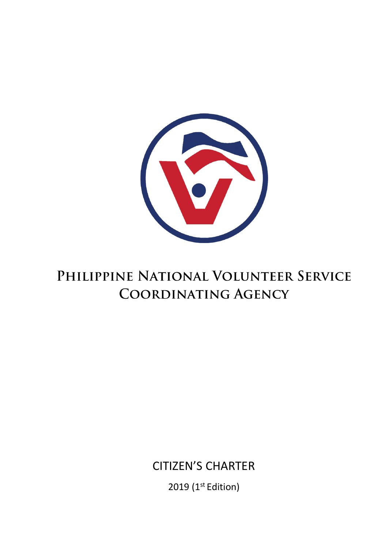2019 (1<sup>st</sup> Edition)

# CITIZEN'S CHARTER

# PHILIPPINE NATIONAL VOLUNTEER SERVICE **COORDINATING AGENCY**

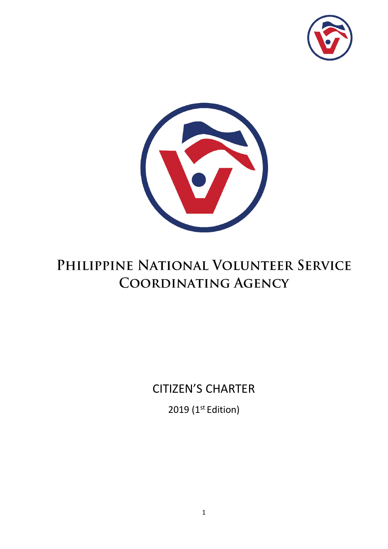



# PHILIPPINE NATIONAL VOLUNTEER SERVICE **COORDINATING AGENCY**

# CITIZEN'S CHARTER

2019 (1<sup>st</sup> Edition)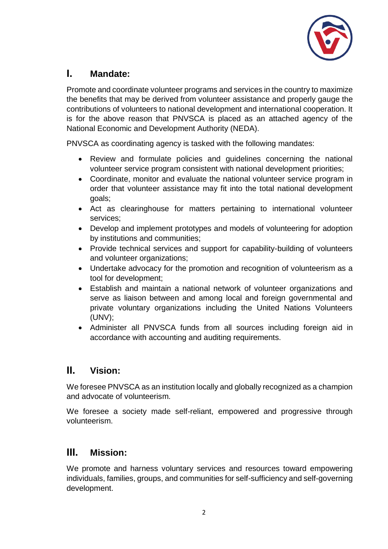

### **I. Mandate:**

Promote and coordinate volunteer programs and services in the country to maximize the benefits that may be derived from volunteer assistance and properly gauge the contributions of volunteers to national development and international cooperation. It is for the above reason that PNVSCA is placed as an attached agency of the National Economic and Development Authority (NEDA).

PNVSCA as coordinating agency is tasked with the following mandates:

- Review and formulate policies and guidelines concerning the national volunteer service program consistent with national development priorities;
- Coordinate, monitor and evaluate the national volunteer service program in order that volunteer assistance may fit into the total national development goals;
- Act as clearinghouse for matters pertaining to international volunteer services;
- Develop and implement prototypes and models of volunteering for adoption by institutions and communities;
- Provide technical services and support for capability-building of volunteers and volunteer organizations;
- Undertake advocacy for the promotion and recognition of volunteerism as a tool for development;
- Establish and maintain a national network of volunteer organizations and serve as liaison between and among local and foreign governmental and private voluntary organizations including the United Nations Volunteers (UNV);
- Administer all PNVSCA funds from all sources including foreign aid in accordance with accounting and auditing requirements.

### **II. Vision:**

We foresee PNVSCA as an institution locally and globally recognized as a champion and advocate of volunteerism.

We foresee a society made self-reliant, empowered and progressive through volunteerism.

#### **III. Mission:**

We promote and harness voluntary services and resources toward empowering individuals, families, groups, and communities for self-sufficiency and self-governing development.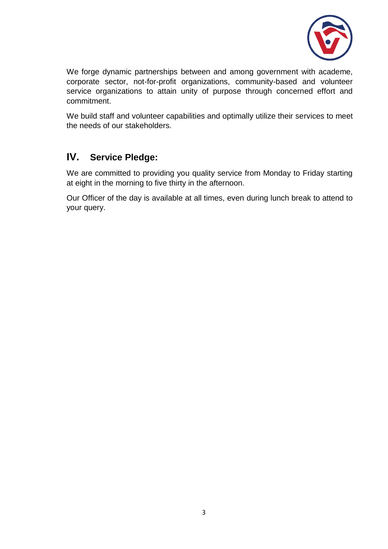

We forge dynamic partnerships between and among government with academe, corporate sector, not-for-profit organizations, community-based and volunteer service organizations to attain unity of purpose through concerned effort and commitment.

We build staff and volunteer capabilities and optimally utilize their services to meet the needs of our stakeholders.

### **IV. Service Pledge:**

We are committed to providing you quality service from Monday to Friday starting at eight in the morning to five thirty in the afternoon.

Our Officer of the day is available at all times, even during lunch break to attend to your query.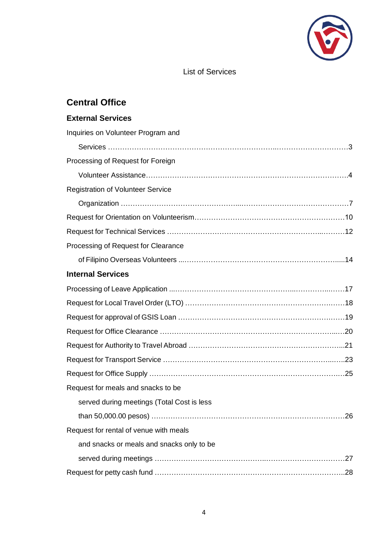

#### List of Services

| <b>Central Office</b>                      |  |
|--------------------------------------------|--|
| <b>External Services</b>                   |  |
| Inquiries on Volunteer Program and         |  |
|                                            |  |
| Processing of Request for Foreign          |  |
|                                            |  |
| <b>Registration of Volunteer Service</b>   |  |
|                                            |  |
|                                            |  |
|                                            |  |
| Processing of Request for Clearance        |  |
|                                            |  |
| <b>Internal Services</b>                   |  |
|                                            |  |
|                                            |  |
|                                            |  |
|                                            |  |
|                                            |  |
|                                            |  |
|                                            |  |
| Request for meals and snacks to be         |  |
| served during meetings (Total Cost is less |  |
|                                            |  |
| Request for rental of venue with meals     |  |
| and snacks or meals and snacks only to be  |  |
|                                            |  |
|                                            |  |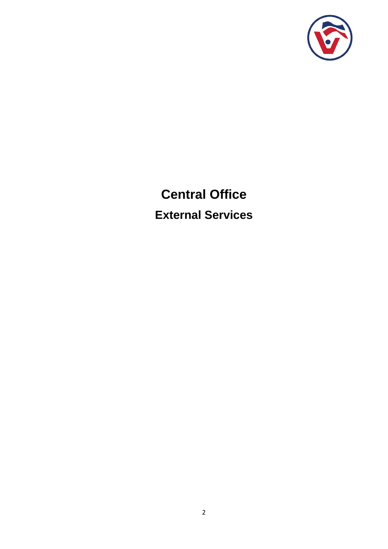

# **Central Office External Services**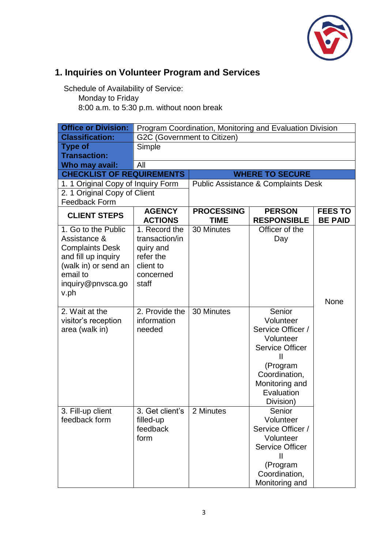

# **1. Inquiries on Volunteer Program and Services**

Schedule of Availability of Service:

Monday to Friday

| <b>Office or Division:</b>         | Program Coordination, Monitoring and Evaluation Division |                                  |                                                |                                  |  |
|------------------------------------|----------------------------------------------------------|----------------------------------|------------------------------------------------|----------------------------------|--|
| <b>Classification:</b>             |                                                          | G2C (Government to Citizen)      |                                                |                                  |  |
| <b>Type of</b>                     | Simple                                                   |                                  |                                                |                                  |  |
| <b>Transaction:</b>                |                                                          |                                  |                                                |                                  |  |
| Who may avail:                     | All                                                      |                                  |                                                |                                  |  |
| <b>CHECKLIST OF REQUIREMENTS</b>   |                                                          |                                  | <b>WHERE TO SECURE</b>                         |                                  |  |
| 1. 1 Original Copy of Inquiry Form |                                                          |                                  | <b>Public Assistance &amp; Complaints Desk</b> |                                  |  |
| 2. 1 Original Copy of Client       |                                                          |                                  |                                                |                                  |  |
| <b>Feedback Form</b>               |                                                          |                                  |                                                |                                  |  |
| <b>CLIENT STEPS</b>                | <b>AGENCY</b><br><b>ACTIONS</b>                          | <b>PROCESSING</b><br><b>TIME</b> | <b>PERSON</b><br><b>RESPONSIBLE</b>            | <b>FEES TO</b><br><b>BE PAID</b> |  |
| 1. Go to the Public                | 1. Record the                                            | 30 Minutes                       | Officer of the                                 |                                  |  |
| Assistance &                       | transaction/in                                           |                                  | Day                                            |                                  |  |
| <b>Complaints Desk</b>             | quiry and                                                |                                  |                                                |                                  |  |
| and fill up inquiry                | refer the                                                |                                  |                                                |                                  |  |
| (walk in) or send an               | client to                                                |                                  |                                                |                                  |  |
| email to                           | concerned<br>staff                                       |                                  |                                                |                                  |  |
| inquiry@pnvsca.go                  |                                                          |                                  |                                                |                                  |  |
| v.ph                               |                                                          |                                  |                                                | None                             |  |
| 2. Wait at the                     | $\overline{2}$ . Provide the                             | 30 Minutes                       | Senior                                         |                                  |  |
| visitor's reception                | information                                              |                                  | Volunteer                                      |                                  |  |
| area (walk in)                     | needed                                                   |                                  | Service Officer /                              |                                  |  |
|                                    |                                                          |                                  | Volunteer                                      |                                  |  |
|                                    |                                                          |                                  | <b>Service Officer</b>                         |                                  |  |
|                                    |                                                          |                                  | $\mathbf{I}$                                   |                                  |  |
|                                    |                                                          |                                  | (Program                                       |                                  |  |
|                                    |                                                          |                                  | Coordination,                                  |                                  |  |
|                                    |                                                          |                                  | Monitoring and                                 |                                  |  |
|                                    |                                                          | Evaluation                       |                                                |                                  |  |
|                                    |                                                          |                                  | Division)                                      |                                  |  |
| 3. Fill-up client                  | 3. Get client's                                          | 2 Minutes                        | Senior                                         |                                  |  |
| feedback form                      | filled-up                                                |                                  | Volunteer                                      |                                  |  |
|                                    | feedback<br>form                                         |                                  | Service Officer /                              |                                  |  |
|                                    |                                                          |                                  | Volunteer<br><b>Service Officer</b>            |                                  |  |
|                                    |                                                          |                                  | Ш                                              |                                  |  |
|                                    |                                                          |                                  | (Program                                       |                                  |  |
|                                    |                                                          |                                  | Coordination,                                  |                                  |  |
|                                    |                                                          |                                  | Monitoring and                                 |                                  |  |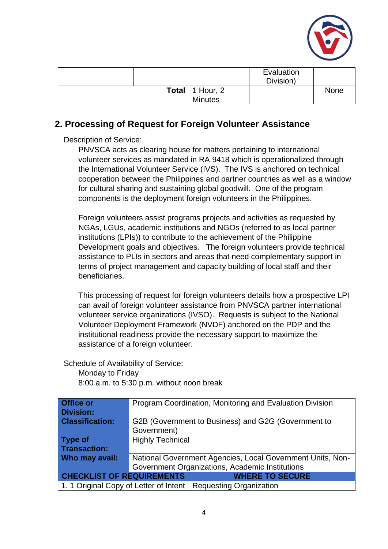

|  |                          | Evaluation<br>Division) |      |
|--|--------------------------|-------------------------|------|
|  | <b>Total</b>   1 Hour, 2 |                         | None |
|  | Minutes                  |                         |      |

### **2. Processing of Request for Foreign Volunteer Assistance**

Description of Service:

PNVSCA acts as clearing house for matters pertaining to international volunteer services as mandated in RA 9418 which is operationalized through the International Volunteer Service (IVS). The IVS is anchored on technical cooperation between the Philippines and partner countries as well as a window for cultural sharing and sustaining global goodwill. One of the program components is the deployment foreign volunteers in the Philippines.

Foreign volunteers assist programs projects and activities as requested by NGAs, LGUs, academic institutions and NGOs (referred to as local partner institutions (LPIs)) to contribute to the achievement of the Philippine Development goals and objectives. The foreign volunteers provide technical assistance to PLIs in sectors and areas that need complementary support in terms of project management and capacity building of local staff and their beneficiaries.

This processing of request for foreign volunteers details how a prospective LPI can avail of foreign volunteer assistance from PNVSCA partner international volunteer service organizations (IVSO). Requests is subject to the National Volunteer Deployment Framework (NVDF) anchored on the PDP and the institutional readiness provide the necessary support to maximize the assistance of a foreign volunteer.

Schedule of Availability of Service:

Monday to Friday 8:00 a.m. to 5:30 p.m. without noon break

| <b>Office or</b>                 | Program Coordination, Monitoring and Evaluation Division   |                                                                  |  |
|----------------------------------|------------------------------------------------------------|------------------------------------------------------------------|--|
| <b>Division:</b>                 |                                                            |                                                                  |  |
| <b>Classification:</b>           |                                                            | G2B (Government to Business) and G2G (Government to              |  |
|                                  | Government)                                                |                                                                  |  |
| <b>Type of</b>                   | <b>Highly Technical</b>                                    |                                                                  |  |
| <b>Transaction:</b>              |                                                            |                                                                  |  |
| Who may avail:                   | National Government Agencies, Local Government Units, Non- |                                                                  |  |
|                                  | Government Organizations, Academic Institutions            |                                                                  |  |
| <b>CHECKLIST OF REQUIREMENTS</b> | <b>WHERE TO SECURE</b>                                     |                                                                  |  |
|                                  |                                                            | 1. 1 Original Copy of Letter of Intent   Requesting Organization |  |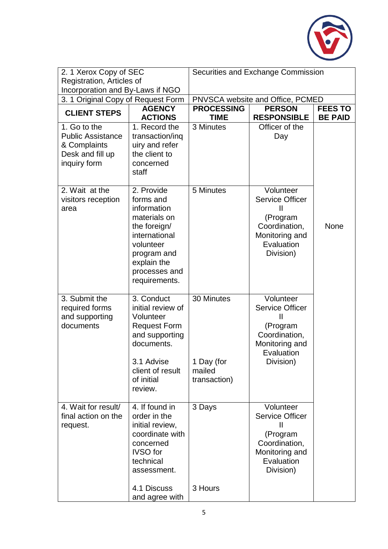

| 2. 1 Xerox Copy of SEC                                                                       |                                                                                                                                                                      | Securities and Exchange Commission                                                                          |                                                                                                                               |      |
|----------------------------------------------------------------------------------------------|----------------------------------------------------------------------------------------------------------------------------------------------------------------------|-------------------------------------------------------------------------------------------------------------|-------------------------------------------------------------------------------------------------------------------------------|------|
| Registration, Articles of                                                                    |                                                                                                                                                                      |                                                                                                             |                                                                                                                               |      |
| Incorporation and By-Laws if NGO                                                             |                                                                                                                                                                      |                                                                                                             |                                                                                                                               |      |
| 3. 1 Original Copy of Request Form                                                           |                                                                                                                                                                      |                                                                                                             | PNVSCA website and Office, PCMED                                                                                              |      |
| <b>CLIENT STEPS</b>                                                                          | <b>AGENCY</b><br><b>ACTIONS</b>                                                                                                                                      | <b>PERSON</b><br><b>PROCESSING</b><br><b>FEES TO</b><br><b>TIME</b><br><b>RESPONSIBLE</b><br><b>BE PAID</b> |                                                                                                                               |      |
| 1. Go to the<br><b>Public Assistance</b><br>& Complaints<br>Desk and fill up<br>inquiry form | 1. Record the<br>transaction/ing<br>uiry and refer<br>the client to<br>concerned<br>staff                                                                            | 3 Minutes                                                                                                   | Officer of the<br>Day                                                                                                         |      |
| 2. Wait at the<br>visitors reception<br>area                                                 | 2. Provide<br>forms and<br>information<br>materials on<br>the foreign/<br>international<br>volunteer<br>program and<br>explain the<br>processes and<br>requirements. | 5 Minutes                                                                                                   | Volunteer<br><b>Service Officer</b><br>$\mathbf{I}$<br>(Program<br>Coordination,<br>Monitoring and<br>Evaluation<br>Division) | None |
| 3. Submit the<br>required forms<br>and supporting<br>documents                               | 3. Conduct<br>initial review of<br>Volunteer<br><b>Request Form</b><br>and supporting<br>documents.<br>3.1 Advise<br>client of result<br>of initial<br>review.       | 30 Minutes<br>1 Day (for<br>mailed<br>transaction)                                                          | Volunteer<br><b>Service Officer</b><br>$\mathbf{I}$<br>(Program<br>Coordination,<br>Monitoring and<br>Evaluation<br>Division) |      |
| 4. Wait for result/<br>final action on the<br>request.                                       | 4. If found in<br>order in the<br>initial review,<br>coordinate with<br>concerned<br><b>IVSO</b> for<br>technical<br>assessment.                                     | 3 Days                                                                                                      | Volunteer<br><b>Service Officer</b><br>Ш<br>(Program<br>Coordination,<br>Monitoring and<br>Evaluation<br>Division)            |      |
|                                                                                              | 4.1 Discuss<br>and agree with                                                                                                                                        | 3 Hours                                                                                                     |                                                                                                                               |      |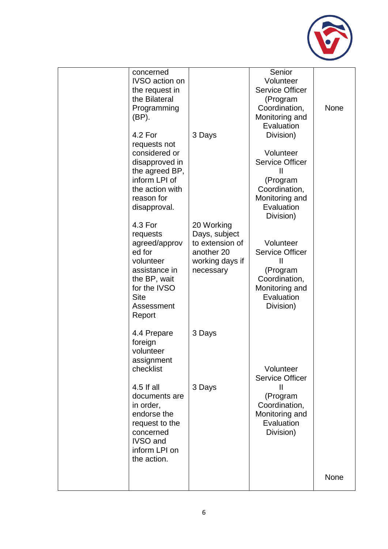

|                                                                                                                                                     |                                                                                              |                                                                                                                                               | None |
|-----------------------------------------------------------------------------------------------------------------------------------------------------|----------------------------------------------------------------------------------------------|-----------------------------------------------------------------------------------------------------------------------------------------------|------|
| 4.5 If all<br>documents are<br>in order,<br>endorse the<br>request to the<br>concerned<br><b>IVSO</b> and<br>inform LPI on<br>the action.           | 3 Days                                                                                       | <b>Service Officer</b><br>Ш<br>(Program<br>Coordination,<br>Monitoring and<br>Evaluation<br>Division)                                         |      |
| 4.4 Prepare<br>foreign<br>volunteer<br>assignment<br>checklist                                                                                      | 3 Days                                                                                       | Volunteer                                                                                                                                     |      |
| 4.3 For<br>requests<br>agreed/approv<br>ed for<br>volunteer<br>assistance in<br>the BP, wait<br>for the IVSO<br><b>Site</b><br>Assessment<br>Report | 20 Working<br>Days, subject<br>to extension of<br>another 20<br>working days if<br>necessary | Volunteer<br><b>Service Officer</b><br>$\mathbf{I}$<br>(Program<br>Coordination,<br>Monitoring and<br>Evaluation<br>Division)                 |      |
| 4.2 For<br>requests not<br>considered or<br>disapproved in<br>the agreed BP,<br>inform LPI of<br>the action with<br>reason for<br>disapproval.      | 3 Days                                                                                       | Evaluation<br>Division)<br>Volunteer<br><b>Service Officer</b><br>Ш<br>(Program<br>Coordination,<br>Monitoring and<br>Evaluation<br>Division) |      |
| concerned<br><b>IVSO</b> action on<br>the request in<br>the Bilateral<br>Programming<br>(BP).                                                       |                                                                                              | Senior<br>Volunteer<br><b>Service Officer</b><br>(Program<br>Coordination,<br>Monitoring and                                                  | None |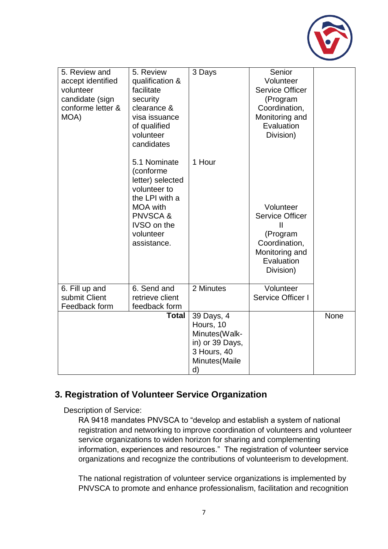

| 5. Review and<br>accept identified<br>volunteer<br>candidate (sign<br>conforme letter &<br>MOA) | 5. Review<br>qualification &<br>facilitate<br>security<br>clearance &<br>visa issuance<br>of qualified<br>volunteer<br>candidates                                          | 3 Days                                                                                            | Senior<br>Volunteer<br><b>Service Officer</b><br>(Program<br>Coordination,<br>Monitoring and<br>Evaluation<br>Division)       |             |
|-------------------------------------------------------------------------------------------------|----------------------------------------------------------------------------------------------------------------------------------------------------------------------------|---------------------------------------------------------------------------------------------------|-------------------------------------------------------------------------------------------------------------------------------|-------------|
|                                                                                                 | 5.1 Nominate<br>(conforme<br>letter) selected<br>volunteer to<br>the LPI with a<br><b>MOA</b> with<br><b>PNVSCA&amp;</b><br><b>IVSO</b> on the<br>volunteer<br>assistance. | 1 Hour                                                                                            | Volunteer<br><b>Service Officer</b><br>$\mathbf{I}$<br>(Program<br>Coordination,<br>Monitoring and<br>Evaluation<br>Division) |             |
| 6. Fill up and<br>submit Client<br>Feedback form                                                | 6. Send and<br>retrieve client<br>feedback form                                                                                                                            | 2 Minutes                                                                                         | Volunteer<br>Service Officer I                                                                                                |             |
|                                                                                                 | <b>Total</b>                                                                                                                                                               | 39 Days, 4<br>Hours, 10<br>Minutes(Walk-<br>in) or 39 Days,<br>3 Hours, 40<br>Minutes(Maile<br>d) |                                                                                                                               | <b>None</b> |

### **3. Registration of Volunteer Service Organization**

Description of Service:

RA 9418 mandates PNVSCA to "develop and establish a system of national registration and networking to improve coordination of volunteers and volunteer service organizations to widen horizon for sharing and complementing information, experiences and resources." The registration of volunteer service organizations and recognize the contributions of volunteerism to development.

The national registration of volunteer service organizations is implemented by PNVSCA to promote and enhance professionalism, facilitation and recognition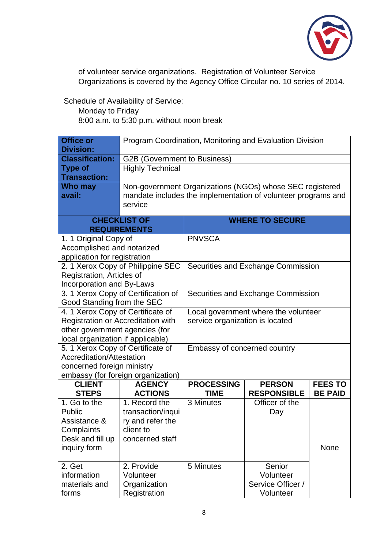

of volunteer service organizations. Registration of Volunteer Service Organizations is covered by the Agency Office Circular no. 10 series of 2014.

Schedule of Availability of Service:

Monday to Friday

| <b>Office or</b><br><b>Division:</b>                                    | Program Coordination, Monitoring and Evaluation Division |                                                                         |                                                               |                |
|-------------------------------------------------------------------------|----------------------------------------------------------|-------------------------------------------------------------------------|---------------------------------------------------------------|----------------|
| <b>Classification:</b>                                                  | <b>G2B (Government to Business)</b>                      |                                                                         |                                                               |                |
| <b>Type of</b>                                                          | <b>Highly Technical</b>                                  |                                                                         |                                                               |                |
| <b>Transaction:</b>                                                     |                                                          |                                                                         |                                                               |                |
| <b>Who may</b>                                                          |                                                          |                                                                         | Non-government Organizations (NGOs) whose SEC registered      |                |
| avail:                                                                  |                                                          |                                                                         | mandate includes the implementation of volunteer programs and |                |
|                                                                         | service                                                  |                                                                         |                                                               |                |
|                                                                         | <b>CHECKLIST OF</b>                                      |                                                                         | <b>WHERE TO SECURE</b>                                        |                |
|                                                                         | <b>REQUIREMENTS</b>                                      |                                                                         |                                                               |                |
| 1. 1 Original Copy of                                                   |                                                          | <b>PNVSCA</b>                                                           |                                                               |                |
| Accomplished and notarized                                              |                                                          |                                                                         |                                                               |                |
| application for registration                                            |                                                          |                                                                         |                                                               |                |
|                                                                         | 2. 1 Xerox Copy of Philippine SEC                        |                                                                         | Securities and Exchange Commission                            |                |
| Registration, Articles of                                               |                                                          |                                                                         |                                                               |                |
| Incorporation and By-Laws                                               |                                                          |                                                                         |                                                               |                |
| 3. 1 Xerox Copy of Certification of                                     |                                                          | Securities and Exchange Commission                                      |                                                               |                |
| Good Standing from the SEC                                              |                                                          |                                                                         |                                                               |                |
| 4. 1 Xerox Copy of Certificate of<br>Registration or Accreditation with |                                                          | Local government where the volunteer<br>service organization is located |                                                               |                |
| other government agencies (for                                          |                                                          |                                                                         |                                                               |                |
| local organization if applicable)                                       |                                                          |                                                                         |                                                               |                |
| 5. 1 Xerox Copy of Certificate of                                       |                                                          | Embassy of concerned country                                            |                                                               |                |
| Accreditation/Attestation                                               |                                                          |                                                                         |                                                               |                |
| concerned foreign ministry                                              |                                                          |                                                                         |                                                               |                |
|                                                                         | embassy (for foreign organization)                       |                                                                         |                                                               |                |
| <b>CLIENT</b>                                                           | <b>AGENCY</b>                                            | <b>PROCESSING</b>                                                       | <b>PERSON</b>                                                 | <b>FEES TO</b> |
| <b>STEPS</b>                                                            | <b>ACTIONS</b>                                           | TIME                                                                    | <b>RESPONSIBLE</b>                                            | <b>BE PAID</b> |
| 1. Go to the                                                            | 1. Record the                                            | 3 Minutes                                                               | Officer of the                                                |                |
| Public                                                                  | transaction/inqui                                        |                                                                         | Day                                                           |                |
| Assistance &                                                            | ry and refer the                                         |                                                                         |                                                               |                |
| Complaints<br>client to                                                 |                                                          |                                                                         |                                                               |                |
| Desk and fill up                                                        | concerned staff                                          |                                                                         |                                                               |                |
| inquiry form                                                            |                                                          |                                                                         |                                                               | None           |
| 2. Get                                                                  | 2. Provide                                               | 5 Minutes                                                               | Senior                                                        |                |
| information                                                             | Volunteer                                                |                                                                         | Volunteer                                                     |                |
| materials and                                                           | Organization                                             |                                                                         | Service Officer /                                             |                |
| forms                                                                   | Registration                                             |                                                                         | Volunteer                                                     |                |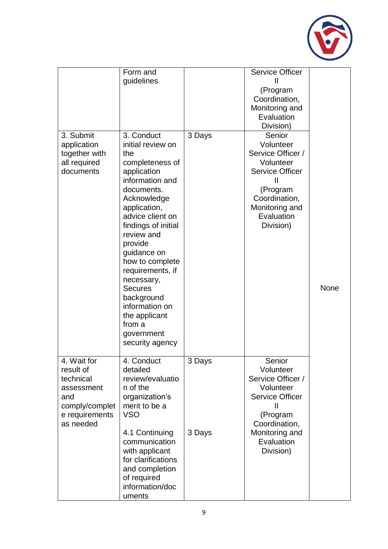

|                                                                                                             | Form and<br>guidelines                                                                                                                                                                                                                                                                                                                                                                         |        | <b>Service Officer</b><br>Ш<br>(Program<br>Coordination,<br>Monitoring and<br>Evaluation<br>Division)                                                     |      |
|-------------------------------------------------------------------------------------------------------------|------------------------------------------------------------------------------------------------------------------------------------------------------------------------------------------------------------------------------------------------------------------------------------------------------------------------------------------------------------------------------------------------|--------|-----------------------------------------------------------------------------------------------------------------------------------------------------------|------|
| 3. Submit<br>application<br>together with<br>all required<br>documents                                      | 3. Conduct<br>initial review on<br>the<br>completeness of<br>application<br>information and<br>documents.<br>Acknowledge<br>application,<br>advice client on<br>findings of initial<br>review and<br>provide<br>guidance on<br>how to complete<br>requirements, if<br>necessary,<br><b>Secures</b><br>background<br>information on<br>the applicant<br>from a<br>government<br>security agency | 3 Days | Senior<br>Volunteer<br>Service Officer /<br>Volunteer<br><b>Service Officer</b><br>(Program<br>Coordination,<br>Monitoring and<br>Evaluation<br>Division) | None |
| 4. Wait for<br>result of<br>technical<br>assessment<br>and<br>comply/complet<br>e requirements<br>as needed | 4. Conduct<br>detailed<br>review/evaluatio<br>n of the<br>organization's<br>merit to be a<br><b>VSO</b>                                                                                                                                                                                                                                                                                        | 3 Days | Senior<br>Volunteer<br>Service Officer /<br>Volunteer<br><b>Service Officer</b><br>Ш<br>(Program<br>Coordination,                                         |      |
|                                                                                                             | 4.1 Continuing<br>communication<br>with applicant<br>for clarifications<br>and completion<br>of required<br>information/doc<br>uments                                                                                                                                                                                                                                                          | 3 Days | Monitoring and<br>Evaluation<br>Division)                                                                                                                 |      |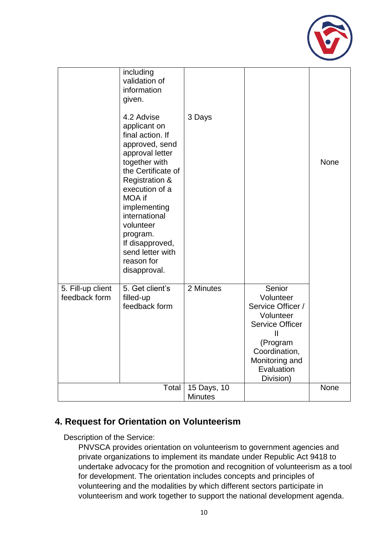

|                                    | including<br>validation of<br>information<br>given.<br>4.2 Advise<br>applicant on<br>final action. If<br>approved, send<br>approval letter<br>together with<br>the Certificate of<br><b>Registration &amp;</b><br>execution of a<br>MOA if<br>implementing<br>international<br>volunteer<br>program.<br>If disapproved,<br>send letter with<br>reason for<br>disapproval. | 3 Days                        |                                                                                                                                                                           | <b>None</b> |
|------------------------------------|---------------------------------------------------------------------------------------------------------------------------------------------------------------------------------------------------------------------------------------------------------------------------------------------------------------------------------------------------------------------------|-------------------------------|---------------------------------------------------------------------------------------------------------------------------------------------------------------------------|-------------|
| 5. Fill-up client<br>feedback form | 5. Get client's<br>filled-up<br>feedback form                                                                                                                                                                                                                                                                                                                             | 2 Minutes                     | Senior<br>Volunteer<br>Service Officer /<br>Volunteer<br><b>Service Officer</b><br>$\mathbf{I}$<br>(Program<br>Coordination,<br>Monitoring and<br>Evaluation<br>Division) |             |
|                                    | Total                                                                                                                                                                                                                                                                                                                                                                     | 15 Days, 10<br><b>Minutes</b> |                                                                                                                                                                           | <b>None</b> |

### **4. Request for Orientation on Volunteerism**

Description of the Service:

PNVSCA provides orientation on volunteerism to government agencies and private organizations to implement its mandate under Republic Act 9418 to undertake advocacy for the promotion and recognition of volunteerism as a tool for development. The orientation includes concepts and principles of volunteering and the modalities by which different sectors participate in volunteerism and work together to support the national development agenda.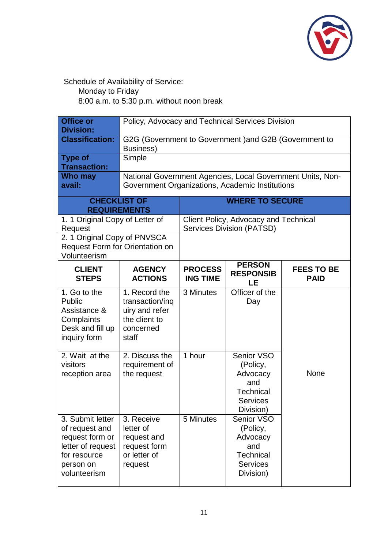

Schedule of Availability of Service:

Monday to Friday

| <b>Office or</b><br><b>Division:</b>                                                                                          | Policy, Advocacy and Technical Services Division                                                              |                                                                           |                                                                                               |                                  |  |
|-------------------------------------------------------------------------------------------------------------------------------|---------------------------------------------------------------------------------------------------------------|---------------------------------------------------------------------------|-----------------------------------------------------------------------------------------------|----------------------------------|--|
| <b>Classification:</b>                                                                                                        | G2G (Government to Government) and G2B (Government to<br>Business)                                            |                                                                           |                                                                                               |                                  |  |
| <b>Type of</b><br><b>Transaction:</b>                                                                                         | Simple                                                                                                        |                                                                           |                                                                                               |                                  |  |
| Who may<br>avail:                                                                                                             | National Government Agencies, Local Government Units, Non-<br>Government Organizations, Academic Institutions |                                                                           |                                                                                               |                                  |  |
| <b>CHECKLIST OF</b><br><b>REQUIREMENTS</b>                                                                                    |                                                                                                               | <b>WHERE TO SECURE</b>                                                    |                                                                                               |                                  |  |
| 1. 1 Original Copy of Letter of<br>Request<br>2. 1 Original Copy of PNVSCA<br>Request Form for Orientation on<br>Volunteerism |                                                                                                               | Client Policy, Advocacy and Technical<br><b>Services Division (PATSD)</b> |                                                                                               |                                  |  |
| <b>CLIENT</b><br><b>STEPS</b>                                                                                                 | <b>AGENCY</b><br><b>ACTIONS</b>                                                                               | <b>PROCESS</b><br><b>ING TIME</b>                                         | <b>PERSON</b><br><b>RESPONSIB</b><br>LE                                                       | <b>FEES TO BE</b><br><b>PAID</b> |  |
| 1. Go to the<br>Public<br>Assistance &<br>Complaints<br>Desk and fill up<br>inquiry form                                      | 1. Record the<br>transaction/inq<br>uiry and refer<br>the client to<br>concerned<br>staff                     | 3 Minutes                                                                 | Officer of the<br>Day                                                                         |                                  |  |
| 2. Wait at the<br>visitors<br>reception area                                                                                  | 2. Discuss the<br>requirement of<br>the request                                                               | 1 hour                                                                    | Senior VSO<br>(Policy,<br>Advocacy<br>and<br><b>Technical</b><br><b>Services</b><br>Division) | None                             |  |
| 3. Submit letter<br>of request and<br>request form or<br>letter of request<br>for resource<br>person on<br>volunteerism       | 3. Receive<br>letter of<br>request and<br>request form<br>or letter of<br>request                             | 5 Minutes                                                                 | Senior VSO<br>(Policy,<br>Advocacy<br>and<br>Technical<br><b>Services</b><br>Division)        |                                  |  |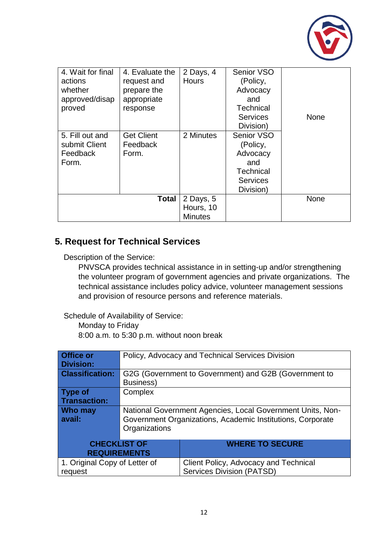

| 4. Wait for final<br>actions<br>whether<br>approved/disap<br>proved | 4. Evaluate the<br>request and<br>prepare the<br>appropriate<br>response | 2 Days, 4<br><b>Hours</b>                | Senior VSO<br>(Policy,<br>Advocacy<br>and<br><b>Technical</b><br><b>Services</b><br>Division) | <b>None</b> |
|---------------------------------------------------------------------|--------------------------------------------------------------------------|------------------------------------------|-----------------------------------------------------------------------------------------------|-------------|
| 5. Fill out and<br>submit Client<br>Feedback<br>Form.               | <b>Get Client</b><br>Feedback<br>Form.                                   | 2 Minutes                                | Senior VSO<br>(Policy,<br>Advocacy<br>and<br><b>Technical</b><br><b>Services</b><br>Division) |             |
|                                                                     | <b>Total</b>                                                             | 2 Days, 5<br>Hours, 10<br><b>Minutes</b> |                                                                                               | None        |

### **5. Request for Technical Services**

Description of the Service:

PNVSCA provides technical assistance in in setting-up and/or strengthening the volunteer program of government agencies and private organizations. The technical assistance includes policy advice, volunteer management sessions and provision of resource persons and reference materials.

Schedule of Availability of Service:

Monday to Friday

| <b>Office or</b>                     |                                                            | Policy, Advocacy and Technical Services Division      |  |  |
|--------------------------------------|------------------------------------------------------------|-------------------------------------------------------|--|--|
| <b>Division:</b>                     |                                                            |                                                       |  |  |
| <b>Classification:</b>               |                                                            | G2G (Government to Government) and G2B (Government to |  |  |
|                                      | <b>Business)</b>                                           |                                                       |  |  |
| Type of                              | Complex                                                    |                                                       |  |  |
| <b>Transaction:</b>                  |                                                            |                                                       |  |  |
| <b>Who may</b>                       | National Government Agencies, Local Government Units, Non- |                                                       |  |  |
| avail:                               | Government Organizations, Academic Institutions, Corporate |                                                       |  |  |
|                                      | Organizations                                              |                                                       |  |  |
|                                      |                                                            |                                                       |  |  |
| <b>CHECKLIST OF</b>                  |                                                            | <b>WHERE TO SECURE</b>                                |  |  |
|                                      | <b>REQUIREMENTS</b>                                        |                                                       |  |  |
| 1. Original Copy of Letter of        |                                                            | Client Policy, Advocacy and Technical                 |  |  |
| Services Division (PATSD)<br>request |                                                            |                                                       |  |  |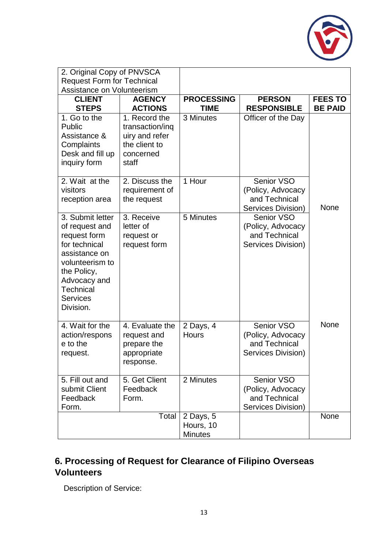

| 2. Original Copy of PNVSCA<br><b>Request Form for Technical</b><br><b>Assistance on Volunteerism</b>                                                                                       |                                                                                           |                                          |                                                                               |                                  |
|--------------------------------------------------------------------------------------------------------------------------------------------------------------------------------------------|-------------------------------------------------------------------------------------------|------------------------------------------|-------------------------------------------------------------------------------|----------------------------------|
| <b>CLIENT</b><br><b>STEPS</b>                                                                                                                                                              | <b>AGENCY</b><br><b>ACTIONS</b>                                                           | <b>PROCESSING</b><br><b>TIME</b>         | <b>PERSON</b><br><b>RESPONSIBLE</b>                                           | <b>FEES TO</b><br><b>BE PAID</b> |
| 1. Go to the<br>Public<br>Assistance &<br>Complaints<br>Desk and fill up<br>inquiry form                                                                                                   | 1. Record the<br>transaction/inq<br>uiry and refer<br>the client to<br>concerned<br>staff | $\overline{3}$ Minutes                   | Officer of the Day                                                            |                                  |
| 2. Wait at the<br>visitors<br>reception area                                                                                                                                               | 2. Discuss the<br>requirement of<br>the request                                           | 1 Hour                                   | Senior VSO<br>(Policy, Advocacy<br>and Technical<br>Services Division)        | None                             |
| 3. Submit letter<br>of request and<br>request form<br>for technical<br>assistance on<br>volunteerism to<br>the Policy,<br>Advocacy and<br><b>Technical</b><br><b>Services</b><br>Division. | 3. Receive<br>letter of<br>request or<br>request form                                     | 5 Minutes                                | <b>Senior VSO</b><br>(Policy, Advocacy<br>and Technical<br>Services Division) |                                  |
| 4. Wait for the<br>action/respons<br>e to the<br>request.                                                                                                                                  | 4. Evaluate the<br>request and<br>prepare the<br>appropriate<br>response.                 | 2 Days, 4<br><b>Hours</b>                | Senior VSO<br>(Policy, Advocacy<br>and Technical<br>Services Division)        | None                             |
| 5. Fill out and<br>submit Client<br>Feedback<br>Form.                                                                                                                                      | 5. Get Client<br>Feedback<br>Form.                                                        | 2 Minutes                                | Senior VSO<br>(Policy, Advocacy<br>and Technical<br>Services Division)        |                                  |
|                                                                                                                                                                                            | Total                                                                                     | 2 Days, 5<br>Hours, 10<br><b>Minutes</b> |                                                                               | None                             |

### **6. Processing of Request for Clearance of Filipino Overseas Volunteers**

Description of Service: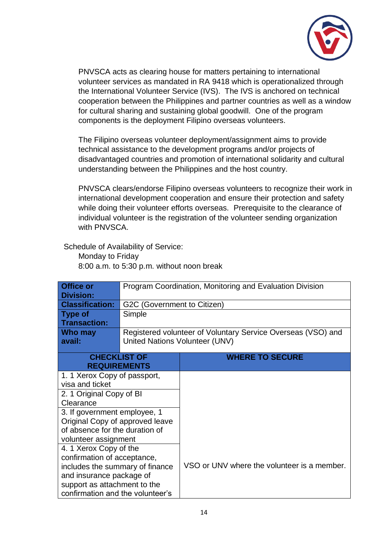

PNVSCA acts as clearing house for matters pertaining to international volunteer services as mandated in RA 9418 which is operationalized through the International Volunteer Service (IVS). The IVS is anchored on technical cooperation between the Philippines and partner countries as well as a window for cultural sharing and sustaining global goodwill. One of the program components is the deployment Filipino overseas volunteers.

The Filipino overseas volunteer deployment/assignment aims to provide technical assistance to the development programs and/or projects of disadvantaged countries and promotion of international solidarity and cultural understanding between the Philippines and the host country.

PNVSCA clears/endorse Filipino overseas volunteers to recognize their work in international development cooperation and ensure their protection and safety while doing their volunteer efforts overseas. Prerequisite to the clearance of individual volunteer is the registration of the volunteer sending organization with PNVSCA

Schedule of Availability of Service:

Monday to Friday 8:00 a.m. to 5:30 p.m. without noon break

| <b>Office or</b><br><b>Division:</b> | Program Coordination, Monitoring and Evaluation Division |                                                              |  |  |  |
|--------------------------------------|----------------------------------------------------------|--------------------------------------------------------------|--|--|--|
| <b>Classification:</b>               | G2C (Government to Citizen)                              |                                                              |  |  |  |
| <b>Type of</b>                       | Simple                                                   |                                                              |  |  |  |
| <b>Transaction:</b>                  |                                                          |                                                              |  |  |  |
| Who may                              |                                                          | Registered volunteer of Voluntary Service Overseas (VSO) and |  |  |  |
| avail:                               | United Nations Volunteer (UNV)                           |                                                              |  |  |  |
| <b>CHECKLIST OF</b>                  |                                                          | <b>WHERE TO SECURE</b>                                       |  |  |  |
|                                      | <b>REQUIREMENTS</b>                                      |                                                              |  |  |  |
| 1. 1 Xerox Copy of passport,         |                                                          |                                                              |  |  |  |
| visa and ticket                      |                                                          |                                                              |  |  |  |
| 2. 1 Original Copy of BI             |                                                          |                                                              |  |  |  |
| Clearance                            |                                                          |                                                              |  |  |  |
| 3. If government employee, 1         |                                                          |                                                              |  |  |  |
| Original Copy of approved leave      |                                                          |                                                              |  |  |  |
| of absence for the duration of       |                                                          |                                                              |  |  |  |
|                                      | volunteer assignment                                     |                                                              |  |  |  |
| 4. 1 Xerox Copy of the               |                                                          |                                                              |  |  |  |
| confirmation of acceptance,          |                                                          |                                                              |  |  |  |
| includes the summary of finance      |                                                          | VSO or UNV where the volunteer is a member.                  |  |  |  |
| and insurance package of             |                                                          |                                                              |  |  |  |
| support as attachment to the         |                                                          |                                                              |  |  |  |
| confirmation and the volunteer's     |                                                          |                                                              |  |  |  |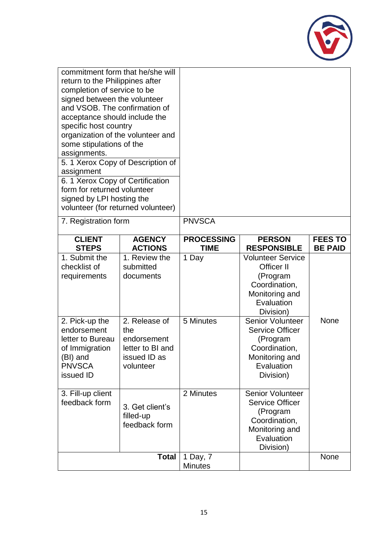

| commitment form that he/she will<br>return to the Philippines after<br>completion of service to be<br>signed between the volunteer<br>and VSOB. The confirmation of<br>acceptance should include the<br>specific host country<br>organization of the volunteer and<br>some stipulations of the<br>assignments.<br>5. 1 Xerox Copy of Description of<br>assignment<br>6. 1 Xerox Copy of Certification<br>form for returned volunteer<br>signed by LPI hosting the<br>volunteer (for returned volunteer) |                                                                                      |                                  |                                                                                                                             |                                  |
|---------------------------------------------------------------------------------------------------------------------------------------------------------------------------------------------------------------------------------------------------------------------------------------------------------------------------------------------------------------------------------------------------------------------------------------------------------------------------------------------------------|--------------------------------------------------------------------------------------|----------------------------------|-----------------------------------------------------------------------------------------------------------------------------|----------------------------------|
| 7. Registration form                                                                                                                                                                                                                                                                                                                                                                                                                                                                                    |                                                                                      | <b>PNVSCA</b>                    |                                                                                                                             |                                  |
| <b>CLIENT</b><br><b>STEPS</b>                                                                                                                                                                                                                                                                                                                                                                                                                                                                           | <b>AGENCY</b><br><b>ACTIONS</b>                                                      | <b>PROCESSING</b><br><b>TIME</b> | <b>PERSON</b><br><b>RESPONSIBLE</b>                                                                                         | <b>FEES TO</b><br><b>BE PAID</b> |
| 1. Submit the<br>checklist of<br>requirements                                                                                                                                                                                                                                                                                                                                                                                                                                                           | 1. Review the<br>submitted<br>documents                                              | 1 Day                            | <b>Volunteer Service</b><br><b>Officer II</b><br>(Program<br>Coordination,<br>Monitoring and<br>Evaluation<br>Division)     |                                  |
| 2. Pick-up the<br>endorsement<br>letter to Bureau<br>of Immigration<br>(BI) and<br><b>PNVSCA</b><br>issued ID                                                                                                                                                                                                                                                                                                                                                                                           | 2. Release of<br>the<br>endorsement<br>letter to BI and<br>issued ID as<br>volunteer | 5 Minutes                        | <b>Senior Volunteer</b><br><b>Service Officer</b><br>(Program<br>Coordination,<br>Monitoring and<br>Evaluation<br>Division) | None                             |
| 3. Fill-up client<br>feedback form                                                                                                                                                                                                                                                                                                                                                                                                                                                                      | 3. Get client's<br>filled-up<br>feedback form                                        | 2 Minutes                        | <b>Senior Volunteer</b><br><b>Service Officer</b><br>(Program<br>Coordination,<br>Monitoring and<br>Evaluation<br>Division) |                                  |
| <b>Total</b>                                                                                                                                                                                                                                                                                                                                                                                                                                                                                            |                                                                                      | 1 Day, 7<br><b>Minutes</b>       |                                                                                                                             | None                             |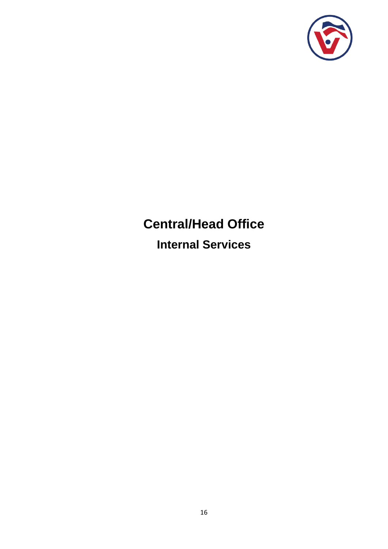

# **Central/Head Office**

**Internal Services**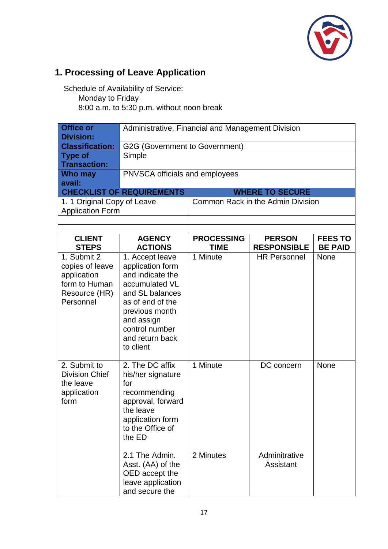

# **1. Processing of Leave Application**

| <b>Office or</b><br><b>Division:</b>                                                         | Administrative, Financial and Management Division                                                                                                                                                  |                   |                                   |                |  |
|----------------------------------------------------------------------------------------------|----------------------------------------------------------------------------------------------------------------------------------------------------------------------------------------------------|-------------------|-----------------------------------|----------------|--|
| <b>Classification:</b>                                                                       | G2G (Government to Government)                                                                                                                                                                     |                   |                                   |                |  |
| <b>Type of</b>                                                                               | Simple                                                                                                                                                                                             |                   |                                   |                |  |
| <b>Transaction:</b>                                                                          |                                                                                                                                                                                                    |                   |                                   |                |  |
| Who may                                                                                      | PNVSCA officials and employees                                                                                                                                                                     |                   |                                   |                |  |
| avail:                                                                                       |                                                                                                                                                                                                    |                   |                                   |                |  |
|                                                                                              | <b>CHECKLIST OF REQUIREMENTS</b>                                                                                                                                                                   |                   | <b>WHERE TO SECURE</b>            |                |  |
| 1. 1 Original Copy of Leave                                                                  |                                                                                                                                                                                                    |                   | Common Rack in the Admin Division |                |  |
| <b>Application Form</b>                                                                      |                                                                                                                                                                                                    |                   |                                   |                |  |
|                                                                                              |                                                                                                                                                                                                    |                   |                                   |                |  |
| <b>CLIENT</b>                                                                                | <b>AGENCY</b>                                                                                                                                                                                      | <b>PROCESSING</b> | <b>PERSON</b>                     | <b>FEES TO</b> |  |
| <b>STEPS</b>                                                                                 | <b>ACTIONS</b>                                                                                                                                                                                     | <b>TIME</b>       | <b>RESPONSIBLE</b>                | <b>BE PAID</b> |  |
| 1. Submit 2<br>copies of leave<br>application<br>form to Human<br>Resource (HR)<br>Personnel | 1. Accept leave<br>application form<br>and indicate the<br>accumulated VL<br>and SL balances<br>as of end of the<br>previous month<br>and assign<br>control number<br>and return back<br>to client | 1 Minute          | <b>HR Personnel</b>               | <b>None</b>    |  |
| 2. Submit to<br><b>Division Chief</b><br>the leave<br>application<br>form                    | 2. The DC affix<br>his/her signature<br>for<br>recommending<br>approval, forward<br>the leave<br>application form<br>to the Office of<br>the ED                                                    | 1 Minute          | DC concern                        | <b>None</b>    |  |
|                                                                                              | 2.1 The Admin.<br>Asst. (AA) of the<br>OED accept the<br>leave application<br>and secure the                                                                                                       | 2 Minutes         | Adminitrative<br>Assistant        |                |  |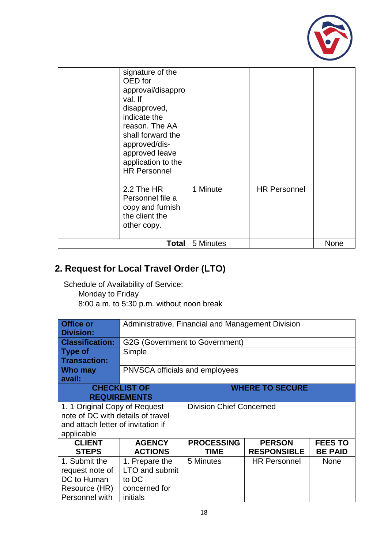

| signature of the<br>OED for<br>approval/disappro<br>val. If<br>disapproved,<br>indicate the<br>reason. The AA<br>shall forward the<br>approved/dis-<br>approved leave<br>application to the<br><b>HR Personnel</b><br>2.2 The HR<br>Personnel file a<br>copy and furnish<br>the client the<br>other copy. | 1 Minute  | <b>HR Personnel</b> |      |
|-----------------------------------------------------------------------------------------------------------------------------------------------------------------------------------------------------------------------------------------------------------------------------------------------------------|-----------|---------------------|------|
| <b>Total</b>                                                                                                                                                                                                                                                                                              | 5 Minutes |                     | None |

### **2. Request for Local Travel Order (LTO)**

| <b>Office or</b><br>Division:      | Administrative, Financial and Management Division |                                 |                        |                |  |
|------------------------------------|---------------------------------------------------|---------------------------------|------------------------|----------------|--|
| <b>Classification:</b>             | G2G (Government to Government)                    |                                 |                        |                |  |
| <b>Type of</b>                     | Simple                                            |                                 |                        |                |  |
| <b>Transaction:</b>                |                                                   |                                 |                        |                |  |
| Who may                            | <b>PNVSCA officials and employees</b>             |                                 |                        |                |  |
| avail:                             |                                                   |                                 |                        |                |  |
|                                    | <b>CHECKLIST OF</b>                               |                                 | <b>WHERE TO SECURE</b> |                |  |
|                                    | <b>REQUIREMENTS</b>                               |                                 |                        |                |  |
| 1. 1 Original Copy of Request      |                                                   | <b>Division Chief Concerned</b> |                        |                |  |
| note of DC with details of travel  |                                                   |                                 |                        |                |  |
| and attach letter of invitation if |                                                   |                                 |                        |                |  |
| applicable                         |                                                   |                                 |                        |                |  |
| <b>CLIENT</b>                      | <b>AGENCY</b>                                     | <b>PROCESSING</b>               | <b>PERSON</b>          | <b>FEES TO</b> |  |
| <b>STEPS</b>                       | <b>ACTIONS</b>                                    | <b>TIME</b>                     | <b>RESPONSIBLE</b>     | <b>BE PAID</b> |  |
| 1. Submit the                      | 1. Prepare the                                    | 5 Minutes                       | <b>HR Personnel</b>    | <b>None</b>    |  |
| request note of                    | LTO and submit                                    |                                 |                        |                |  |
| DC to Human                        | to DC                                             |                                 |                        |                |  |
| Resource (HR)                      | concerned for                                     |                                 |                        |                |  |
| Personnel with                     | initials                                          |                                 |                        |                |  |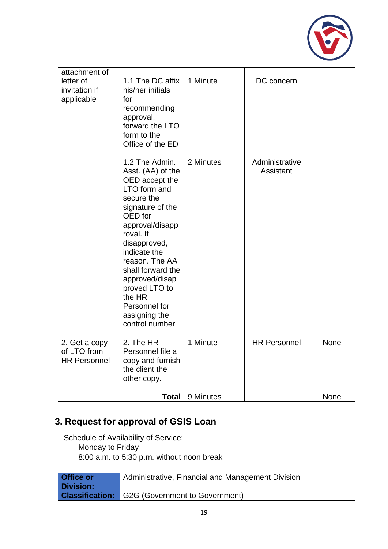

| attachment of<br>letter of<br>invitation if<br>applicable | 1.1 The DC affix<br>his/her initials<br>for<br>recommending<br>approval,<br>forward the LTO<br>form to the<br>Office of the ED                                                                                                                                                                                             | 1 Minute  | DC concern                  |             |
|-----------------------------------------------------------|----------------------------------------------------------------------------------------------------------------------------------------------------------------------------------------------------------------------------------------------------------------------------------------------------------------------------|-----------|-----------------------------|-------------|
|                                                           | 1.2 The Admin.<br>Asst. (AA) of the<br>OED accept the<br>LTO form and<br>secure the<br>signature of the<br>OED for<br>approval/disapp<br>roval. If<br>disapproved,<br>indicate the<br>reason. The AA<br>shall forward the<br>approved/disap<br>proved LTO to<br>the HR<br>Personnel for<br>assigning the<br>control number | 2 Minutes | Administrative<br>Assistant |             |
| 2. Get a copy<br>of LTO from<br><b>HR Personnel</b>       | 2. The HR<br>Personnel file a<br>copy and furnish<br>the client the<br>other copy.                                                                                                                                                                                                                                         | 1 Minute  | <b>HR Personnel</b>         | <b>None</b> |
|                                                           | <b>Total</b>                                                                                                                                                                                                                                                                                                               | 9 Minutes |                             | None        |

# **3. Request for approval of GSIS Loan**

| <b>Office or</b> | Administrative, Financial and Management Division     |
|------------------|-------------------------------------------------------|
| <b>Division:</b> |                                                       |
|                  | <b>Classification:</b> G2G (Government to Government) |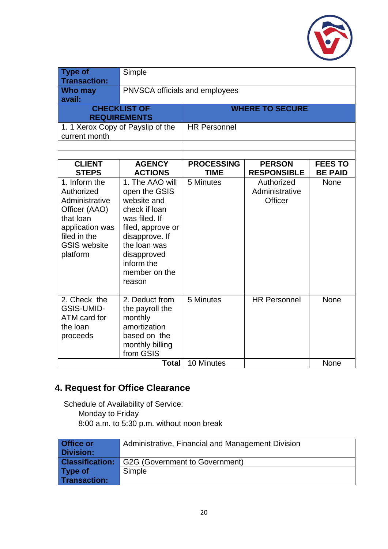

| <b>Type of</b><br><b>Transaction:</b>                                                                                                             | Simple                                                                                                                                                                                           |                                  |                                                |                                  |  |
|---------------------------------------------------------------------------------------------------------------------------------------------------|--------------------------------------------------------------------------------------------------------------------------------------------------------------------------------------------------|----------------------------------|------------------------------------------------|----------------------------------|--|
| <b>Who may</b><br>avail:                                                                                                                          |                                                                                                                                                                                                  | PNVSCA officials and employees   |                                                |                                  |  |
|                                                                                                                                                   | <b>CHECKLIST OF</b><br><b>REQUIREMENTS</b>                                                                                                                                                       |                                  | <b>WHERE TO SECURE</b>                         |                                  |  |
| 1. 1 Xerox Copy of Payslip of the<br>current month                                                                                                |                                                                                                                                                                                                  | <b>HR Personnel</b>              |                                                |                                  |  |
|                                                                                                                                                   |                                                                                                                                                                                                  |                                  |                                                |                                  |  |
| <b>CLIENT</b><br><b>STEPS</b>                                                                                                                     | <b>AGENCY</b><br><b>ACTIONS</b>                                                                                                                                                                  | <b>PROCESSING</b><br><b>TIME</b> | <b>PERSON</b><br><b>RESPONSIBLE</b>            | <b>FEES TO</b><br><b>BE PAID</b> |  |
| 1. Inform the<br>Authorized<br>Administrative<br>Officer (AAO)<br>that loan<br>application was<br>filed in the<br><b>GSIS website</b><br>platform | 1. The AAO will<br>open the GSIS<br>website and<br>check if loan<br>was filed. If<br>filed, approve or<br>disapprove. If<br>the loan was<br>disapproved<br>inform the<br>member on the<br>reason | 5 Minutes                        | Authorized<br>Administrative<br><b>Officer</b> | None                             |  |
| 2. Check the<br><b>GSIS-UMID-</b><br>ATM card for<br>the loan<br>proceeds                                                                         | 2. Deduct from<br>the payroll the<br>monthly<br>amortization<br>based on the<br>monthly billing<br>from GSIS                                                                                     | 5 Minutes                        | <b>HR Personnel</b>                            | <b>None</b>                      |  |
|                                                                                                                                                   | <b>Total</b>                                                                                                                                                                                     | 10 Minutes                       |                                                | <b>None</b>                      |  |

### **4. Request for Office Clearance**

| Office or<br><b>Division:</b> | Administrative, Financial and Management Division     |
|-------------------------------|-------------------------------------------------------|
|                               | <b>Classification:</b> G2G (Government to Government) |
| Type of                       | Simple                                                |
| <b>Transaction:</b>           |                                                       |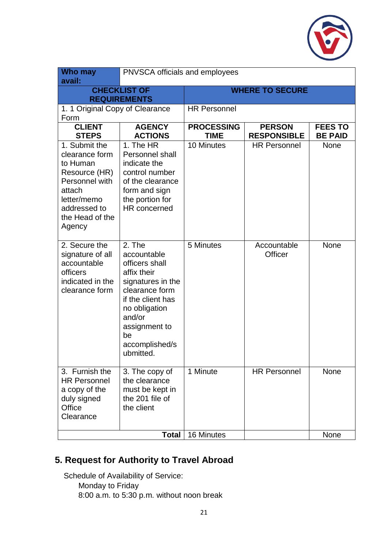

| <b>Who may</b><br>avail:                                                                                                                             | PNVSCA officials and employees                                                                                                                                                                      |                                  |                                     |                                  |
|------------------------------------------------------------------------------------------------------------------------------------------------------|-----------------------------------------------------------------------------------------------------------------------------------------------------------------------------------------------------|----------------------------------|-------------------------------------|----------------------------------|
|                                                                                                                                                      | <b>CHECKLIST OF</b><br><b>REQUIREMENTS</b>                                                                                                                                                          | <b>WHERE TO SECURE</b>           |                                     |                                  |
| 1. 1 Original Copy of Clearance<br>Form                                                                                                              |                                                                                                                                                                                                     | <b>HR Personnel</b>              |                                     |                                  |
| <b>CLIENT</b><br><b>STEPS</b>                                                                                                                        | <b>AGENCY</b><br><b>ACTIONS</b>                                                                                                                                                                     | <b>PROCESSING</b><br><b>TIME</b> | <b>PERSON</b><br><b>RESPONSIBLE</b> | <b>FEES TO</b><br><b>BE PAID</b> |
| 1. Submit the<br>clearance form<br>to Human<br>Resource (HR)<br>Personnel with<br>attach<br>letter/memo<br>addressed to<br>the Head of the<br>Agency | 1. The HR<br>Personnel shall<br>indicate the<br>control number<br>of the clearance<br>form and sign<br>the portion for<br>HR concerned                                                              | 10 Minutes                       | <b>HR Personnel</b>                 | <b>None</b>                      |
| 2. Secure the<br>signature of all<br>accountable<br>officers<br>indicated in the<br>clearance form                                                   | 2. The<br>accountable<br>officers shall<br>affix their<br>signatures in the<br>clearance form<br>if the client has<br>no obligation<br>and/or<br>assignment to<br>be<br>accomplished/s<br>ubmitted. | 5 Minutes                        | Accountable<br>Officer              | <b>None</b>                      |
| 3. Furnish the<br><b>HR Personnel</b><br>a copy of the<br>duly signed<br>Office<br>Clearance                                                         | 3. The copy of<br>the clearance<br>must be kept in<br>the 201 file of<br>the client                                                                                                                 | 1 Minute                         | <b>HR Personnel</b>                 | <b>None</b>                      |
|                                                                                                                                                      | <b>Total</b>                                                                                                                                                                                        | 16 Minutes                       |                                     | None                             |

### **5. Request for Authority to Travel Abroad**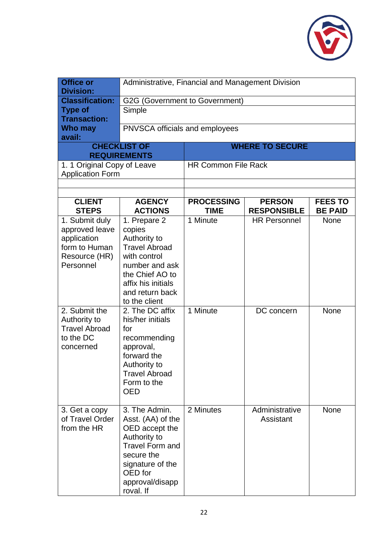

| <b>Office or</b><br><b>Division:</b>                                                           | Administrative, Financial and Management Division                                                                                                                             |                                  |                                     |                                  |
|------------------------------------------------------------------------------------------------|-------------------------------------------------------------------------------------------------------------------------------------------------------------------------------|----------------------------------|-------------------------------------|----------------------------------|
| <b>Classification:</b>                                                                         | G2G (Government to Government)                                                                                                                                                |                                  |                                     |                                  |
| <b>Type of</b><br><b>Transaction:</b>                                                          | Simple                                                                                                                                                                        |                                  |                                     |                                  |
| Who may<br>avail:                                                                              | PNVSCA officials and employees                                                                                                                                                |                                  |                                     |                                  |
|                                                                                                | <b>CHECKLIST OF</b>                                                                                                                                                           |                                  | <b>WHERE TO SECURE</b>              |                                  |
|                                                                                                | <b>REQUIREMENTS</b>                                                                                                                                                           |                                  |                                     |                                  |
| 1. 1 Original Copy of Leave<br><b>Application Form</b>                                         |                                                                                                                                                                               | <b>HR Common File Rack</b>       |                                     |                                  |
|                                                                                                |                                                                                                                                                                               |                                  |                                     |                                  |
|                                                                                                |                                                                                                                                                                               |                                  |                                     |                                  |
| <b>CLIENT</b><br><b>STEPS</b>                                                                  | <b>AGENCY</b><br><b>ACTIONS</b>                                                                                                                                               | <b>PROCESSING</b><br><b>TIME</b> | <b>PERSON</b><br><b>RESPONSIBLE</b> | <b>FEES TO</b><br><b>BE PAID</b> |
| 1. Submit duly<br>approved leave<br>application<br>form to Human<br>Resource (HR)<br>Personnel | 1. Prepare 2<br>copies<br>Authority to<br><b>Travel Abroad</b><br>with control<br>number and ask<br>the Chief AO to<br>affix his initials<br>and return back<br>to the client | 1 Minute                         | <b>HR Personnel</b>                 | <b>None</b>                      |
| 2. Submit the<br>Authority to<br><b>Travel Abroad</b><br>to the DC<br>concerned                | 2. The DC affix<br>his/her initials<br>for<br>recommending<br>approval,<br>forward the<br>Authority to<br><b>Travel Abroad</b><br>Form to the<br><b>OED</b>                   | 1 Minute                         | DC concern                          | None                             |
| 3. Get a copy<br>of Travel Order<br>from the HR                                                | 3. The Admin.<br>Asst. (AA) of the<br>OED accept the<br>Authority to<br><b>Travel Form and</b><br>secure the<br>signature of the<br>OED for<br>approval/disapp<br>roval. If   | 2 Minutes                        | Administrative<br>Assistant         | None                             |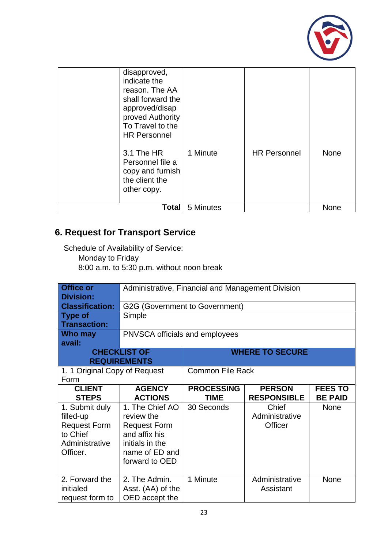

| disapproved,<br>indicate the<br>reason. The AA<br>shall forward the<br>approved/disap<br>proved Authority<br>To Travel to the<br><b>HR Personnel</b><br>3.1 The HR<br>Personnel file a<br>copy and furnish<br>the client the<br>other copy. | 1 Minute  | <b>HR Personnel</b> | <b>None</b> |
|---------------------------------------------------------------------------------------------------------------------------------------------------------------------------------------------------------------------------------------------|-----------|---------------------|-------------|
| Total                                                                                                                                                                                                                                       | 5 Minutes |                     | None        |

# **6. Request for Transport Service**

| <b>Office or</b><br><b>Division:</b><br><b>Classification:</b><br><b>Type of</b><br><b>Transaction:</b><br>Who may | Administrative, Financial and Management Division<br>G2G (Government to Government)<br>Simple<br>PNVSCA officials and employees |                                  |                                     |                                  |
|--------------------------------------------------------------------------------------------------------------------|---------------------------------------------------------------------------------------------------------------------------------|----------------------------------|-------------------------------------|----------------------------------|
| avail:<br><b>REQUIREMENTS</b>                                                                                      | <b>CHECKLIST OF</b><br><b>WHERE TO SECURE</b>                                                                                   |                                  |                                     |                                  |
| 1. 1 Original Copy of Request<br>Form                                                                              |                                                                                                                                 | <b>Common File Rack</b>          |                                     |                                  |
| <b>CLIENT</b><br><b>STEPS</b>                                                                                      | <b>AGENCY</b><br><b>ACTIONS</b>                                                                                                 | <b>PROCESSING</b><br><b>TIME</b> | <b>PERSON</b><br><b>RESPONSIBLE</b> | <b>FEES TO</b><br><b>BE PAID</b> |
| 1. Submit duly<br>filled-up<br><b>Request Form</b><br>to Chief<br>Administrative<br>Officer.                       | 1. The Chief AO<br>review the<br><b>Request Form</b><br>and affix his<br>initials in the<br>name of ED and<br>forward to OED    | 30 Seconds                       | Chief<br>Administrative<br>Officer  | None                             |
| 2. Forward the<br>initialed<br>request form to                                                                     | 2. The Admin.<br>Asst. (AA) of the<br>OED accept the                                                                            | 1 Minute                         | Administrative<br>Assistant         | <b>None</b>                      |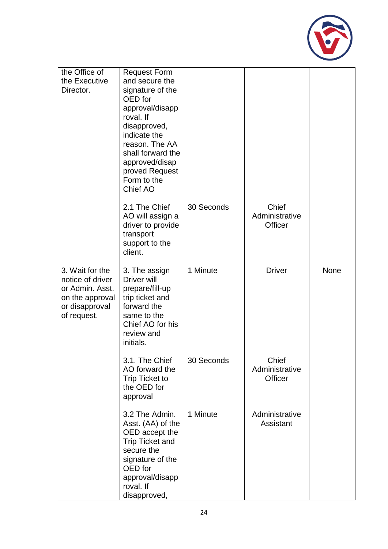

| the Office of<br>the Executive                                                                             | <b>Request Form</b><br>and secure the                                                                                                                                        |            |                                    |      |
|------------------------------------------------------------------------------------------------------------|------------------------------------------------------------------------------------------------------------------------------------------------------------------------------|------------|------------------------------------|------|
| Director.                                                                                                  | signature of the<br>OED for                                                                                                                                                  |            |                                    |      |
|                                                                                                            | approval/disapp<br>roval. If                                                                                                                                                 |            |                                    |      |
|                                                                                                            | disapproved,<br>indicate the<br>reason. The AA                                                                                                                               |            |                                    |      |
|                                                                                                            | shall forward the<br>approved/disap                                                                                                                                          |            |                                    |      |
|                                                                                                            | proved Request<br>Form to the                                                                                                                                                |            |                                    |      |
|                                                                                                            | Chief AO                                                                                                                                                                     |            |                                    |      |
|                                                                                                            | 2.1 The Chief<br>AO will assign a                                                                                                                                            | 30 Seconds | Chief<br>Administrative            |      |
|                                                                                                            | driver to provide<br>transport                                                                                                                                               |            | <b>Officer</b>                     |      |
|                                                                                                            | support to the<br>client.                                                                                                                                                    |            |                                    |      |
| 3. Wait for the<br>notice of driver<br>or Admin. Asst.<br>on the approval<br>or disapproval<br>of request. | 3. The assign<br>Driver will<br>prepare/fill-up<br>trip ticket and<br>forward the<br>same to the<br>Chief AO for his<br>review and<br>initials.                              | 1 Minute   | <b>Driver</b>                      | None |
|                                                                                                            | 3.1. The Chief<br>AO forward the<br><b>Trip Ticket to</b><br>the OED for<br>approval                                                                                         | 30 Seconds | Chief<br>Administrative<br>Officer |      |
|                                                                                                            | 3.2 The Admin.<br>Asst. (AA) of the<br>OED accept the<br><b>Trip Ticket and</b><br>secure the<br>signature of the<br>OED for<br>approval/disapp<br>roval. If<br>disapproved, | 1 Minute   | Administrative<br>Assistant        |      |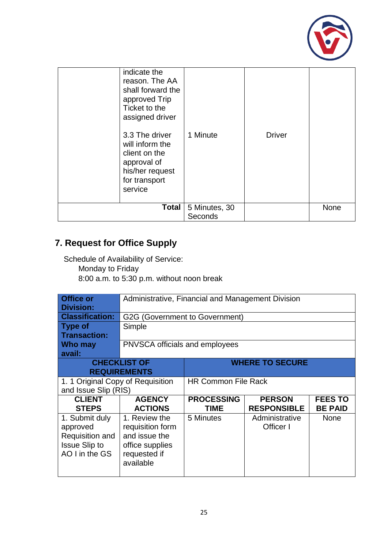

| indicate the<br>reason. The AA<br>shall forward the<br>approved Trip<br>Ticket to the<br>assigned driver<br>3.3 The driver<br>will inform the<br>client on the<br>approval of<br>his/her request<br>for transport<br>service | 1 Minute                 | <b>Driver</b> |             |
|------------------------------------------------------------------------------------------------------------------------------------------------------------------------------------------------------------------------------|--------------------------|---------------|-------------|
| <b>Total</b>                                                                                                                                                                                                                 | 5 Minutes, 30<br>Seconds |               | <b>None</b> |

# **7. Request for Office Supply**

| <b>Office or</b><br><b>Division:</b> | Administrative, Financial and Management Division |                            |                    |                |
|--------------------------------------|---------------------------------------------------|----------------------------|--------------------|----------------|
| <b>Classification:</b>               | G2G (Government to Government)                    |                            |                    |                |
| <b>Type of</b>                       | Simple                                            |                            |                    |                |
| <b>Transaction:</b>                  |                                                   |                            |                    |                |
| Who may                              | <b>PNVSCA officials and employees</b>             |                            |                    |                |
| avail:                               |                                                   |                            |                    |                |
|                                      | <b>CHECKLIST OF</b>                               | <b>WHERE TO SECURE</b>     |                    |                |
|                                      | <b>REQUIREMENTS</b>                               |                            |                    |                |
| 1. 1 Original Copy of Requisition    |                                                   | <b>HR Common File Rack</b> |                    |                |
| and Issue Slip (RIS)                 |                                                   |                            |                    |                |
| <b>CLIENT</b>                        | <b>AGENCY</b>                                     | <b>PROCESSING</b>          | <b>PERSON</b>      | <b>FEES TO</b> |
| <b>STEPS</b>                         | <b>ACTIONS</b>                                    | <b>TIME</b>                | <b>RESPONSIBLE</b> | <b>BE PAID</b> |
| 1. Submit duly                       | 1. Review the                                     | 5 Minutes                  | Administrative     | None           |
| approved                             | requisition form                                  |                            | Officer I          |                |
| Requisition and                      | and issue the                                     |                            |                    |                |
| <b>Issue Slip to</b>                 | office supplies                                   |                            |                    |                |
| AO I in the GS                       | requested if                                      |                            |                    |                |
|                                      | available                                         |                            |                    |                |
|                                      |                                                   |                            |                    |                |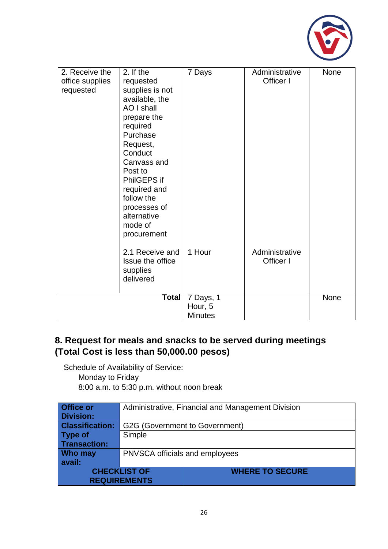

| 2. Receive the<br>office supplies<br>requested | 2. If the<br>requested<br>supplies is not<br>available, the<br>AO I shall<br>prepare the<br>required<br>Purchase<br>Request,<br>Conduct<br>Canvass and<br>Post to<br>PhilGEPS if<br>required and<br>follow the<br>processes of<br>alternative<br>mode of<br>procurement | 7 Days                                 | Administrative<br>Officer I | <b>None</b> |
|------------------------------------------------|-------------------------------------------------------------------------------------------------------------------------------------------------------------------------------------------------------------------------------------------------------------------------|----------------------------------------|-----------------------------|-------------|
|                                                | 2.1 Receive and<br>Issue the office<br>supplies<br>delivered                                                                                                                                                                                                            | 1 Hour                                 | Administrative<br>Officer I |             |
|                                                | <b>Total</b>                                                                                                                                                                                                                                                            | 7 Days, 1<br>Hour, 5<br><b>Minutes</b> |                             | None        |

### **8. Request for meals and snacks to be served during meetings (Total Cost is less than 50,000.00 pesos)**

Schedule of Availability of Service:

Monday to Friday

| Office or              | Administrative, Financial and Management Division |                        |  |
|------------------------|---------------------------------------------------|------------------------|--|
| <b>Division:</b>       |                                                   |                        |  |
| <b>Classification:</b> | G2G (Government to Government)                    |                        |  |
| Type of                | Simple                                            |                        |  |
| <b>Transaction:</b>    |                                                   |                        |  |
| <b>Who may</b>         | PNVSCA officials and employees                    |                        |  |
| avail:                 |                                                   |                        |  |
| <b>CHECKLIST OF</b>    |                                                   | <b>WHERE TO SECURE</b> |  |
|                        | <b>REQUIREMENTS</b>                               |                        |  |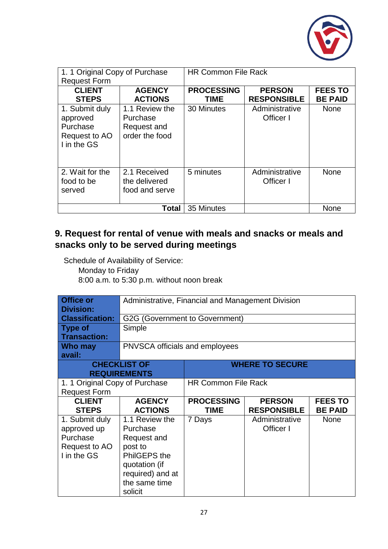

| 1. 1 Original Copy of Purchase<br><b>Request Form</b>                  |                                                             | <b>HR Common File Rack</b>       |                                     |                                  |
|------------------------------------------------------------------------|-------------------------------------------------------------|----------------------------------|-------------------------------------|----------------------------------|
| <b>CLIENT</b><br><b>STEPS</b>                                          | <b>AGENCY</b><br><b>ACTIONS</b>                             | <b>PROCESSING</b><br><b>TIME</b> | <b>PERSON</b><br><b>RESPONSIBLE</b> | <b>FEES TO</b><br><b>BE PAID</b> |
| 1. Submit duly<br>approved<br>Purchase<br>Request to AO<br>I in the GS | 1.1 Review the<br>Purchase<br>Request and<br>order the food | 30 Minutes                       | Administrative<br>Officer I         | <b>None</b>                      |
| 2. Wait for the<br>food to be<br>served                                | 2.1 Received<br>the delivered<br>food and serve             | 5 minutes                        | Administrative<br>Officer I         | <b>None</b>                      |
|                                                                        | Total                                                       | 35 Minutes                       |                                     | None                             |

### **9. Request for rental of venue with meals and snacks or meals and snacks only to be served during meetings**

Schedule of Availability of Service: Monday to Friday

| <b>Office or</b><br><b>Division:</b> | Administrative, Financial and Management Division |                                |                        |                |
|--------------------------------------|---------------------------------------------------|--------------------------------|------------------------|----------------|
| <b>Classification:</b>               |                                                   | G2G (Government to Government) |                        |                |
| <b>Type of</b>                       | Simple                                            |                                |                        |                |
| <b>Transaction:</b>                  |                                                   |                                |                        |                |
| Who may                              | <b>PNVSCA officials and employees</b>             |                                |                        |                |
| avail:                               |                                                   |                                |                        |                |
|                                      | <b>CHECKLIST OF</b>                               |                                | <b>WHERE TO SECURE</b> |                |
|                                      | <b>REQUIREMENTS</b>                               |                                |                        |                |
| 1. 1 Original Copy of Purchase       |                                                   | <b>HR Common File Rack</b>     |                        |                |
| <b>Request Form</b>                  |                                                   |                                |                        |                |
| <b>CLIENT</b>                        | <b>AGENCY</b>                                     | <b>PROCESSING</b>              | <b>PERSON</b>          | <b>FEES TO</b> |
| <b>STEPS</b>                         | <b>ACTIONS</b>                                    | <b>TIME</b>                    | <b>RESPONSIBLE</b>     | <b>BE PAID</b> |
| 1. Submit duly                       | 1.1 Review the                                    | 7 Days                         | Administrative         | <b>None</b>    |
| approved up                          | Purchase                                          |                                | Officer I              |                |
| Purchase                             | Request and                                       |                                |                        |                |
| Request to AO                        | post to                                           |                                |                        |                |
| I in the GS                          | PhilGEPS the                                      |                                |                        |                |
|                                      | quotation (if                                     |                                |                        |                |
|                                      | required) and at                                  |                                |                        |                |
|                                      | the same time                                     |                                |                        |                |
|                                      | solicit                                           |                                |                        |                |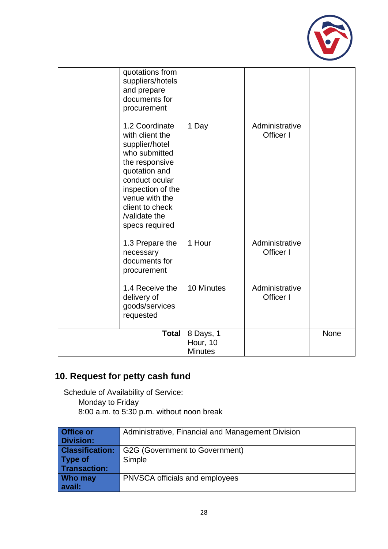

| quotations from<br>suppliers/hotels<br>and prepare<br>documents for<br>procurement                                                                                                                                     |                                         |                             |      |
|------------------------------------------------------------------------------------------------------------------------------------------------------------------------------------------------------------------------|-----------------------------------------|-----------------------------|------|
| 1.2 Coordinate<br>with client the<br>supplier/hotel<br>who submitted<br>the responsive<br>quotation and<br>conduct ocular<br>inspection of the<br>venue with the<br>client to check<br>/validate the<br>specs required | 1 Day                                   | Administrative<br>Officer I |      |
| 1.3 Prepare the<br>necessary<br>documents for<br>procurement                                                                                                                                                           | 1 Hour                                  | Administrative<br>Officer I |      |
| 1.4 Receive the<br>delivery of<br>goods/services<br>requested                                                                                                                                                          | 10 Minutes                              | Administrative<br>Officer I |      |
| <b>Total</b>                                                                                                                                                                                                           | 8 Days, 1<br>Hour, 10<br><b>Minutes</b> |                             | None |

# **10. Request for petty cash fund**

| Office or              | Administrative, Financial and Management Division |
|------------------------|---------------------------------------------------|
| <b>Division:</b>       |                                                   |
| <b>Classification:</b> | G2G (Government to Government)                    |
| Type of                | Simple                                            |
| <b>Transaction:</b>    |                                                   |
| Who may                | PNVSCA officials and employees                    |
| avail:                 |                                                   |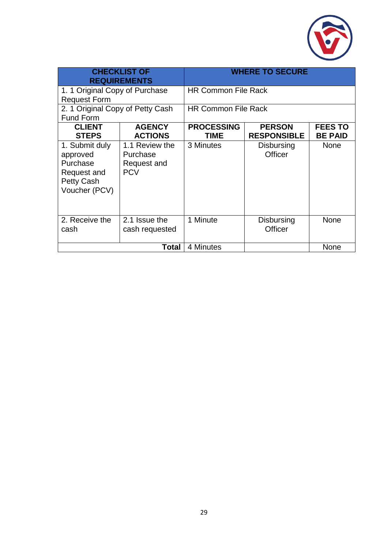

| <b>CHECKLIST OF</b><br><b>REQUIREMENTS</b>                                           |                                                         | <b>WHERE TO SECURE</b>           |                                     |                                  |  |
|--------------------------------------------------------------------------------------|---------------------------------------------------------|----------------------------------|-------------------------------------|----------------------------------|--|
| 1. 1 Original Copy of Purchase                                                       |                                                         | <b>HR Common File Rack</b>       |                                     |                                  |  |
| <b>Request Form</b>                                                                  |                                                         |                                  |                                     |                                  |  |
| 2. 1 Original Copy of Petty Cash                                                     |                                                         | <b>HR Common File Rack</b>       |                                     |                                  |  |
| <b>Fund Form</b>                                                                     |                                                         |                                  |                                     |                                  |  |
| <b>CLIENT</b><br><b>STEPS</b>                                                        | <b>AGENCY</b><br><b>ACTIONS</b>                         | <b>PROCESSING</b><br><b>TIME</b> | <b>PERSON</b><br><b>RESPONSIBLE</b> | <b>FEES TO</b><br><b>BE PAID</b> |  |
| 1. Submit duly<br>approved<br>Purchase<br>Request and<br>Petty Cash<br>Voucher (PCV) | 1.1 Review the<br>Purchase<br>Request and<br><b>PCV</b> | 3 Minutes                        | Disbursing<br>Officer               | <b>None</b>                      |  |
| 2. Receive the<br>cash                                                               | 2.1 Issue the<br>cash requested                         | 1 Minute                         | Disbursing<br>Officer               | <b>None</b>                      |  |
|                                                                                      | Total                                                   | 4 Minutes                        |                                     | <b>None</b>                      |  |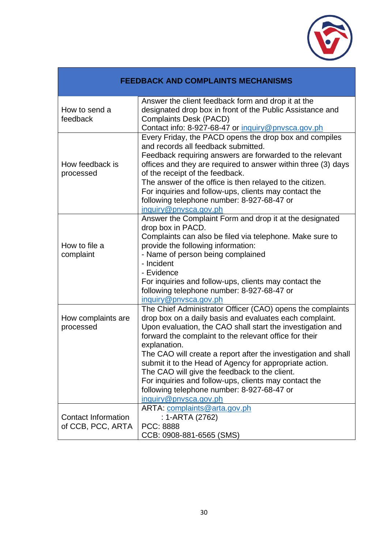

| <b>FEEDBACK AND COMPLAINTS MECHANISMS</b>       |                                                                                                                                                                                                                                                                                                                                                                                                                                                                                                                                                                             |  |  |
|-------------------------------------------------|-----------------------------------------------------------------------------------------------------------------------------------------------------------------------------------------------------------------------------------------------------------------------------------------------------------------------------------------------------------------------------------------------------------------------------------------------------------------------------------------------------------------------------------------------------------------------------|--|--|
| How to send a<br>feedback                       | Answer the client feedback form and drop it at the<br>designated drop box in front of the Public Assistance and<br><b>Complaints Desk (PACD)</b><br>Contact info: 8-927-68-47 or inquiry@pnysca.gov.ph                                                                                                                                                                                                                                                                                                                                                                      |  |  |
| How feedback is<br>processed                    | Every Friday, the PACD opens the drop box and compiles<br>and records all feedback submitted.<br>Feedback requiring answers are forwarded to the relevant<br>offices and they are required to answer within three (3) days<br>of the receipt of the feedback.<br>The answer of the office is then relayed to the citizen.<br>For inquiries and follow-ups, clients may contact the<br>following telephone number: 8-927-68-47 or<br>inquiry@pnysca.gov.ph                                                                                                                   |  |  |
| How to file a<br>complaint                      | Answer the Complaint Form and drop it at the designated<br>drop box in PACD.<br>Complaints can also be filed via telephone. Make sure to<br>provide the following information:<br>- Name of person being complained<br>- Incident<br>- Evidence<br>For inquiries and follow-ups, clients may contact the<br>following telephone number: 8-927-68-47 or<br>inquiry@pnysca.gov.ph                                                                                                                                                                                             |  |  |
| How complaints are<br>processed                 | The Chief Administrator Officer (CAO) opens the complaints<br>drop box on a daily basis and evaluates each complaint.<br>Upon evaluation, the CAO shall start the investigation and<br>forward the complaint to the relevant office for their<br>explanation.<br>The CAO will create a report after the investigation and shall<br>submit it to the Head of Agency for appropriate action.<br>The CAO will give the feedback to the client.<br>For inquiries and follow-ups, clients may contact the<br>following telephone number: 8-927-68-47 or<br>inquiry@pnvsca.gov.ph |  |  |
| <b>Contact Information</b><br>of CCB, PCC, ARTA | ARTA: complaints@arta.gov.ph<br>: 1-ARTA (2762)<br>PCC: 8888<br>CCB: 0908-881-6565 (SMS)                                                                                                                                                                                                                                                                                                                                                                                                                                                                                    |  |  |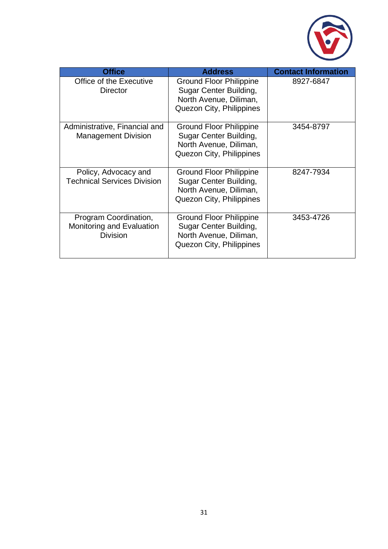

| <b>Office</b>                                                  | <b>Address</b>                                                                                                 | <b>Contact Information</b> |
|----------------------------------------------------------------|----------------------------------------------------------------------------------------------------------------|----------------------------|
| Office of the Executive<br><b>Director</b>                     | <b>Ground Floor Philippine</b><br>Sugar Center Building,<br>North Avenue, Diliman,<br>Quezon City, Philippines | 8927-6847                  |
| Administrative, Financial and<br><b>Management Division</b>    | Ground Floor Philippine<br>Sugar Center Building,<br>North Avenue, Diliman,<br>Quezon City, Philippines        | 3454-8797                  |
| Policy, Advocacy and<br><b>Technical Services Division</b>     | Ground Floor Philippine<br>Sugar Center Building,<br>North Avenue, Diliman,<br>Quezon City, Philippines        | 8247-7934                  |
| Program Coordination,<br>Monitoring and Evaluation<br>Division | <b>Ground Floor Philippine</b><br>Sugar Center Building,<br>North Avenue, Diliman,<br>Quezon City, Philippines | 3453-4726                  |